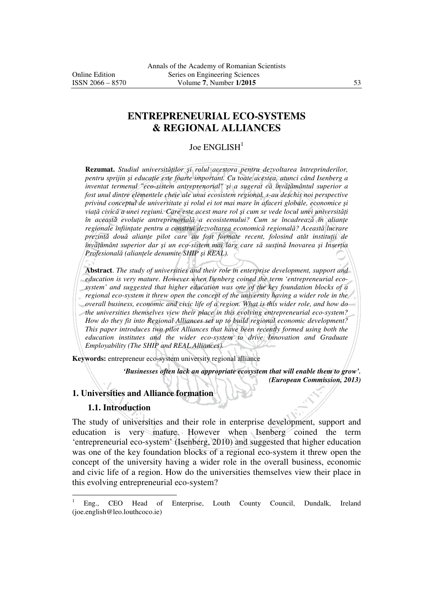# **ENTREPRENEURIAL ECO-SYSTEMS & REGIONAL ALLIANCES**

#### Joe ENGLISH<sup>1</sup>

**Rezumat.** *Studiul universităților și rolul acestora pentru dezvoltarea întreprinderilor, pentru sprijin şi educaŃie este foarte important. Cu toate acestea, atunci când Isenberg a inventat termenul "eco-sistem antreprenorial" și a sugerat că învățământul superior a fost unul dintre elementele cheie ale unui ecosistem regional, s-au deschis noi perspective privind conceptul de universitate şi rolul ei tot mai mare în afaceri globale, economice şi viată civică a unei regiuni. Care este acest mare rol și cum se vede locul unei universităti în această evoluție antreprenorială a ecosistemului? Cum se încadrează în alianțe regionale înfiinŃate pentru a construi dezvoltarea economică regională? Această lucrare prezintă* două alianțe pilot care au fost formate recent, folosind atât instituții de  $\hat{i}$ *nv* $\hat{i}$ *țământ superior dar și un eco-sistem mai larg care să susțină Inovarea și Inserția Profesională* (aliantele denumite SHIP și REAL).

**Abstract**. *The study of universities and their role in enterprise development, support and education is very mature. However when Isenberg coined the term 'entrepreneurial ecosystem' and suggested that higher education was one of the key foundation blocks of a regional eco-system it threw open the concept of the university having a wider role in the overall business, economic and civic life of a region. What is this wider role, and how do the universities themselves view their place in this evolving entrepreneurial eco-system? How do they fit into Regional Alliances set up to build regional economic development? This paper introduces two pilot Alliances that have been recently formed using both the education institutes and the wider eco-system to drive Innovation and Graduate Employability (The SHIP and REAL Alliances).*

**Keywords:** entrepreneur eco-system university regional alliance

*'Businesses often lack an appropriate ecosystem that will enable them to grow'. (European Commission, 2013)* 

### **1. Universities and Alliance formation**

## **1.1. Introduction**

 $\overline{a}$ 

The study of universities and their role in enterprise development, support and education is very mature. However when Isenberg coined the term 'entrepreneurial eco-system' (Isenberg, 2010) and suggested that higher education was one of the key foundation blocks of a regional eco-system it threw open the concept of the university having a wider role in the overall business, economic and civic life of a region. How do the universities themselves view their place in this evolving entrepreneurial eco-system?

<sup>1</sup> Eng., CEO Head of Enterprise, Louth County Council, Dundalk, Ireland (joe.english@leo.louthcoco.ie)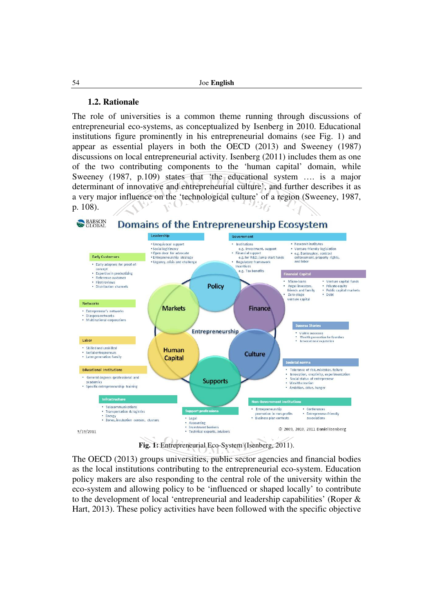#### **1.2. Rationale**

The role of universities is a common theme running through discussions of entrepreneurial eco-systems, as conceptualized by Isenberg in 2010. Educational institutions figure prominently in his entrepreneurial domains (see Fig. 1) and appear as essential players in both the OECD (2013) and Sweeney (1987) discussions on local entrepreneurial activity. Isenberg (2011) includes them as one of the two contributing components to the 'human capital' domain, while Sweeney (1987, p.109) states that 'the educational system …. is a major determinant of innovative and entrepreneurial culture', and further describes it as a very major influence on the 'technological culture' of a region (Sweeney, 1987, p. 108).



**Fig. 1:** Entrepreneurial Eco-System (Isenberg, 2011).

The OECD (2013) groups universities, public sector agencies and financial bodies as the local institutions contributing to the entrepreneurial eco-system. Education policy makers are also responding to the central role of the university within the eco-system and allowing policy to be 'influenced or shaped locally' to contribute to the development of local 'entrepreneurial and leadership capabilities' (Roper & Hart, 2013). These policy activities have been followed with the specific objective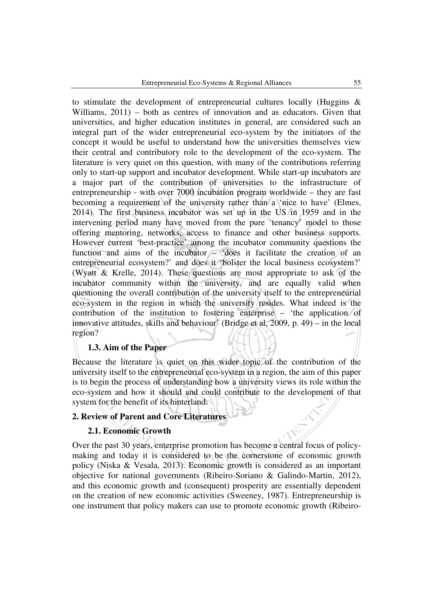to stimulate the development of entrepreneurial cultures locally (Huggins & Williams,  $2011$ ) – both as centres of innovation and as educators. Given that universities, and higher education institutes in general, are considered such an integral part of the wider entrepreneurial eco-system by the initiators of the concept it would be useful to understand how the universities themselves view their central and contributory role to the development of the eco-system. The literature is very quiet on this question, with many of the contributions referring only to start-up support and incubator development. While start-up incubators are a major part of the contribution of universities to the infrastructure of entrepreneurship - with over 7000 incubation program worldwide – they are fast becoming a requirement of the university rather than a 'nice to have' (Elmes, 2014). The first business incubator was set up in the US in 1959 and in the intervening period many have moved from the pure 'tenancy' model to those offering mentoring, networks, access to finance and other business supports. However current 'best-practice' among the incubator community questions the function and aims of the incubator – 'does it facilitate the creation of an entrepreneurial ecosystem?' and does it 'bolster the local business ecosystem?' (Wyatt & Krelle, 2014). These questions are most appropriate to ask of the incubator community within the university, and are equally valid when questioning the overall contribution of the university itself to the entrepreneurial eco-system in the region in which the university resides. What indeed is the contribution of the institution to fostering enterprise – 'the application of innovative attitudes, skills and behaviour' (Bridge et al, 2009, p. 49) – in the local region?

### **1.3. Aim of the Paper**

Because the literature is quiet on this wider topic of the contribution of the university itself to the entrepreneurial eco-system in a region, the aim of this paper is to begin the process of understanding how a university views its role within the eco-system and how it should and could contribute to the development of that system for the benefit of its hinterland.

#### **2. Review of Parent and Core Literatures**

#### **2.1. Economic Growth**

Over the past 30 years, enterprise promotion has become a central focus of policymaking and today it is considered to be the cornerstone of economic growth policy (Niska & Vesala, 2013). Economic growth is considered as an important objective for national governments (Ribeiro-Soriano & Galindo-Martin, 2012), and this economic growth and (consequent) prosperity are essentially dependent on the creation of new economic activities (Sweeney, 1987). Entrepreneurship is one instrument that policy makers can use to promote economic growth (Ribeiro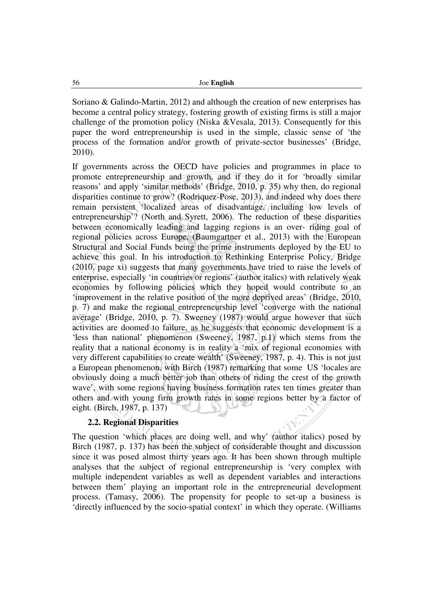Soriano & Galindo-Martin, 2012) and although the creation of new enterprises has become a central policy strategy, fostering growth of existing firms is still a major challenge of the promotion policy (Niska &Vesala, 2013). Consequently for this paper the word entrepreneurship is used in the simple, classic sense of 'the process of the formation and/or growth of private-sector businesses' (Bridge, 2010).

If governments across the OECD have policies and programmes in place to promote entrepreneurship and growth, and if they do it for 'broadly similar reasons' and apply 'similar methods' (Bridge, 2010, p. 35) why then, do regional disparities continue to grow? (Rodriquez-Pose, 2013), and indeed why does there remain persistent 'localized areas of disadvantage, including low levels of entrepreneurship'? (North and Syrett, 2006). The reduction of these disparities between economically leading and lagging regions is an over- riding goal of regional policies across Europe, (Baumgartner et al., 2013) with the European Structural and Social Funds being the prime instruments deployed by the EU to achieve this goal. In his introduction to Rethinking Enterprise Policy, Bridge (2010, page xi) suggests that many governments have tried to raise the levels of enterprise, especially 'in countries or regions' (author italics) with relatively weak economies by following policies which they hoped would contribute to an 'improvement in the relative position of the more deprived areas' (Bridge, 2010, p. 7) and make the regional entrepreneurship level 'converge with the national average' (Bridge, 2010, p. 7). Sweeney (1987) would argue however that such activities are doomed to failure, as he suggests that economic development is a 'less than national' phenomenon (Sweeney, 1987, p.1) which stems from the reality that a national economy is in reality a 'mix of regional economies with very different capabilities to create wealth' (Sweeney, 1987, p. 4). This is not just a European phenomenon, with Birch (1987) remarking that some US 'locales are obviously doing a much better job than others of riding the crest of the growth wave', with some regions having business formation rates ten times greater than others and with young firm growth rates in some regions better by a factor of eight. (Birch, 1987, p. 137)

## **2.2. Regional Disparities**

The question 'which places are doing well, and why' (author italics) posed by Birch (1987, p. 137) has been the subject of considerable thought and discussion since it was posed almost thirty years ago. It has been shown through multiple analyses that the subject of regional entrepreneurship is 'very complex with multiple independent variables as well as dependent variables and interactions between them' playing an important role in the entrepreneurial development process. (Tamasy, 2006). The propensity for people to set-up a business is 'directly influenced by the socio-spatial context' in which they operate. (Williams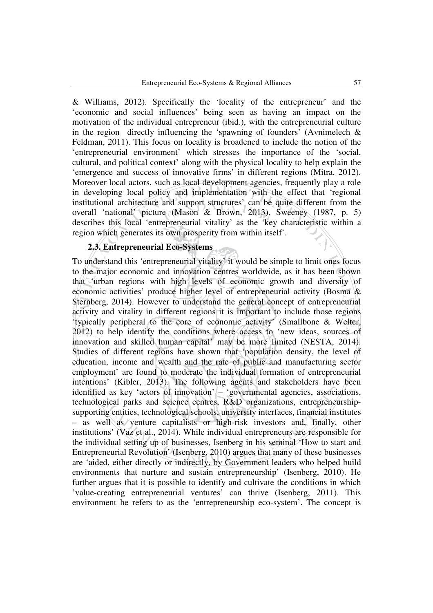& Williams, 2012). Specifically the 'locality of the entrepreneur' and the 'economic and social influences' being seen as having an impact on the motivation of the individual entrepreneur (ibid.), with the entrepreneurial culture in the region directly influencing the 'spawning of founders' (Avnimelech  $\&$ Feldman, 2011). This focus on locality is broadened to include the notion of the 'entrepreneurial environment' which stresses the importance of the 'social, cultural, and political context' along with the physical locality to help explain the 'emergence and success of innovative firms' in different regions (Mitra, 2012). Moreover local actors, such as local development agencies, frequently play a role in developing local policy and implementation with the effect that 'regional institutional architecture and support structures' can be quite different from the overall 'national' picture (Mason & Brown, 2013). Sweeney (1987, p. 5) describes this local 'entrepreneurial vitality' as the 'key characteristic within a region which generates its own prosperity from within itself'.

#### **2.3. Entrepreneurial Eco-Systems**

To understand this 'entrepreneurial vitality' it would be simple to limit ones focus to the major economic and innovation centres worldwide, as it has been shown that 'urban regions with high levels of economic growth and diversity of economic activities' produce higher level of entrepreneurial activity (Bosma & Sternberg, 2014). However to understand the general concept of entrepreneurial activity and vitality in different regions it is important to include those regions 'typically peripheral to the core of economic activity' (Smallbone & Welter, 2012) to help identify the conditions where access to 'new ideas, sources of innovation and skilled human capital' may be more limited (NESTA, 2014). Studies of different regions have shown that 'population density, the level of education, income and wealth and the rate of public and manufacturing sector employment' are found to moderate the individual formation of entrepreneurial intentions' (Kibler, 2013). The following agents and stakeholders have been identified as key 'actors of innovation' – 'governmental agencies, associations, technological parks and science centres, R&D organizations, entrepreneurshipsupporting entities, technological schools, university interfaces, financial institutes – as well as venture capitalists or high-risk investors and, finally, other institutions' (Vaz et al., 2014). While individual entrepreneurs are responsible for the individual setting up of businesses, Isenberg in his seminal 'How to start and Entrepreneurial Revolution' (Isenberg, 2010) argues that many of these businesses are 'aided, either directly or indirectly, by Government leaders who helped build environments that nurture and sustain entrepreneurship' (Isenberg, 2010). He further argues that it is possible to identify and cultivate the conditions in which 'value-creating entrepreneurial ventures' can thrive (Isenberg, 2011). This environment he refers to as the 'entrepreneurship eco-system'. The concept is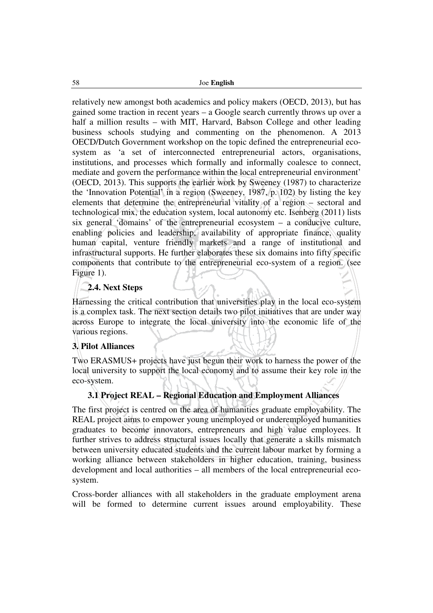relatively new amongst both academics and policy makers (OECD, 2013), but has gained some traction in recent years – a Google search currently throws up over a half a million results – with MIT, Harvard, Babson College and other leading business schools studying and commenting on the phenomenon. A 2013 OECD/Dutch Government workshop on the topic defined the entrepreneurial ecosystem as 'a set of interconnected entrepreneurial actors, organisations, institutions, and processes which formally and informally coalesce to connect, mediate and govern the performance within the local entrepreneurial environment' (OECD, 2013). This supports the earlier work by Sweeney (1987) to characterize the 'Innovation Potential' in a region (Sweeney, 1987, p. 102) by listing the key elements that determine the entrepreneurial vitality of a region – sectoral and technological mix, the education system, local autonomy etc. Isenberg (2011) lists six general 'domains' of the entrepreneurial ecosystem – a conducive culture, enabling policies and leadership, availability of appropriate finance, quality human capital, venture friendly markets and a range of institutional and infrastructural supports. He further elaborates these six domains into fifty specific components that contribute to the entrepreneurial eco-system of a region. (see Figure 1).

## **2.4. Next Steps**

Harnessing the critical contribution that universities play in the local eco-system is a complex task. The next section details two pilot initiatives that are under way across Europe to integrate the local university into the economic life of the various regions.

## **3. Pilot Alliances**

Two ERASMUS+ projects have just begun their work to harness the power of the local university to support the local economy and to assume their key role in the eco-system.

## **3.1 Project REAL – Regional Education and Employment Alliances**

The first project is centred on the area of humanities graduate employability. The REAL project aims to empower young unemployed or underemployed humanities graduates to become innovators, entrepreneurs and high value employees. It further strives to address structural issues locally that generate a skills mismatch between university educated students and the current labour market by forming a working alliance between stakeholders in higher education, training, business development and local authorities – all members of the local entrepreneurial ecosystem.

Cross-border alliances with all stakeholders in the graduate employment arena will be formed to determine current issues around employability. These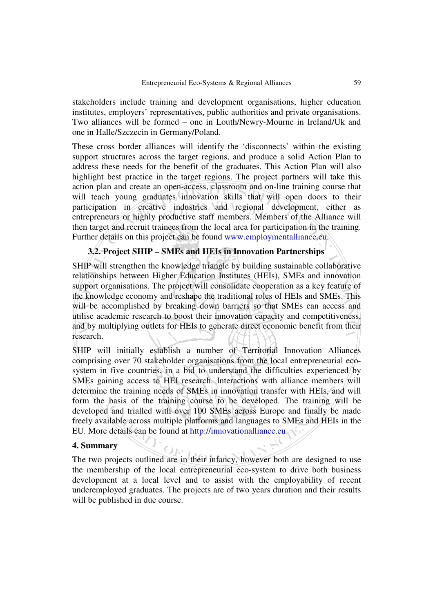stakeholders include training and development organisations, higher education institutes, employers' representatives, public authorities and private organisations. Two alliances will be formed – one in Louth/Newry-Mourne in Ireland/Uk and one in Halle/Szczecin in Germany/Poland.

These cross border alliances will identify the 'disconnects' within the existing support structures across the target regions, and produce a solid Action Plan to address these needs for the benefit of the graduates. This Action Plan will also highlight best practice in the target regions. The project partners will take this action plan and create an open-access, classroom and on-line training course that will teach young graduates innovation skills that will open doors to their participation in creative industries and regional development, either as entrepreneurs or highly productive staff members. Members of the Alliance will then target and recruit trainees from the local area for participation in the training. Further details on this project can be found www.employmentalliance.eu.

## **3.2. Project SHIP – SMEs and HEIs in Innovation Partnerships**

SHIP will strengthen the knowledge triangle by building sustainable collaborative relationships between Higher Education Institutes (HEIs), SMEs and innovation support organisations. The project will consolidate cooperation as a key feature of the knowledge economy and reshape the traditional roles of HEIs and SMEs. This will be accomplished by breaking down barriers so that SMEs can access and utilise academic research to boost their innovation capacity and competitiveness, and by multiplying outlets for HEIs to generate direct economic benefit from their research.

SHIP will initially establish a number of Territorial Innovation Alliances comprising over 70 stakeholder organisations from the local entrepreneurial ecosystem in five countries, in a bid to understand the difficulties experienced by SMEs gaining access to HEI research. Interactions with alliance members will determine the training needs of SMEs in innovation transfer with HEIs, and will form the basis of the training course to be developed. The training will be developed and trialled with over 100 SMEs across Europe and finally be made freely available across multiple platforms and languages to SMEs and HEIs in the EU. More details can be found at http://innovationalliance.eu

## **4. Summary**

The two projects outlined are in their infancy, however both are designed to use the membership of the local entrepreneurial eco-system to drive both business development at a local level and to assist with the employability of recent underemployed graduates. The projects are of two years duration and their results will be published in due course.

Om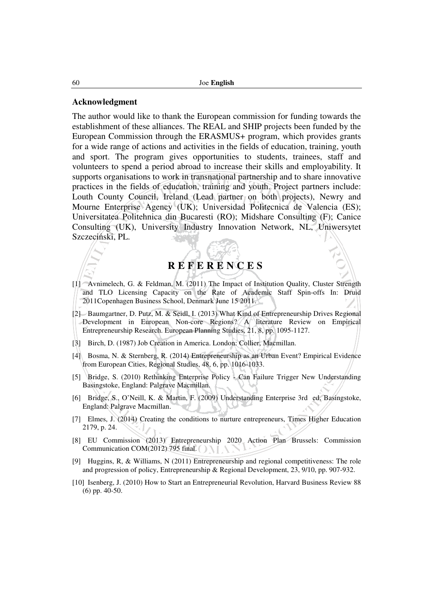#### **Acknowledgment**

The author would like to thank the European commission for funding towards the establishment of these alliances. The REAL and SHIP projects been funded by the European Commission through the ERASMUS+ program, which provides grants for a wide range of actions and activities in the fields of education, training, youth and sport. The program gives opportunities to students, trainees, staff and volunteers to spend a period abroad to increase their skills and employability. It supports organisations to work in transnational partnership and to share innovative practices in the fields of education, training and youth. Project partners include: Louth County Council, Ireland (Lead partner on both projects), Newry and Mourne Enterprise Agency (UK); Universidad Politecnica de Valencia (ES); Universitatea Politehnica din Bucaresti (RO); Midshare Consulting (F); Canice Consulting (UK), University Industry Innovation Network, NL, Uniwersytet Szczeciński, PL.

# **R E F E R E N C E S**

- [1] Avnimelech, G. & Feldman, M. (2011) The Impact of Institution Quality, Cluster Strength and TLO Licensing Capacity on the Rate of Academic Staff Spin-offs In: Druid 2011Copenhagen Business School, Denmark June 15 2011.
- [2] Baumgartner, D. Putz, M. & Seidl, I. (2013) What Kind of Entrepreneurship Drives Regional Development in European Non-core Regions? A literature Review on Empirical Entrepreneurship Research. European Planning Studies, 21, 8, pp. 1095-1127.
- [3] Birch, D. (1987) Job Creation in America. London: Collier, Macmillan.
- [4] Bosma, N. & Sternberg, R. (2014) Entrepreneurship as an Urban Event? Empirical Evidence from European Cities, Regional Studies, 48, 6, pp. 1016-1033.
- [5] Bridge, S. (2010) Rethinking Enterprise Policy Can Failure Trigger New Understanding Basingstoke, England: Palgrave Macmillan.
- [6] Bridge, S., O'Neill, K. & Martin, F. (2009) Understanding Enterprise 3rd ed, Basingstoke, England: Palgrave Macmillan.
- [7] Elmes, J. (2014) Creating the conditions to nurture entrepreneurs, Times Higher Education 2179, p. 24.
- [8] EU Commission (2013) Entrepreneurship 2020 Action Plan Brussels: Commission Communication COM(2012) 795 final.
- [9] Huggins, R, & Williams, N (2011) Entrepreneurship and regional competitiveness: The role and progression of policy, Entrepreneurship & Regional Development, 23, 9/10, pp. 907-932.
- [10] Isenberg, J. (2010) How to Start an Entrepreneurial Revolution, Harvard Business Review 88 (6) pp. 40-50.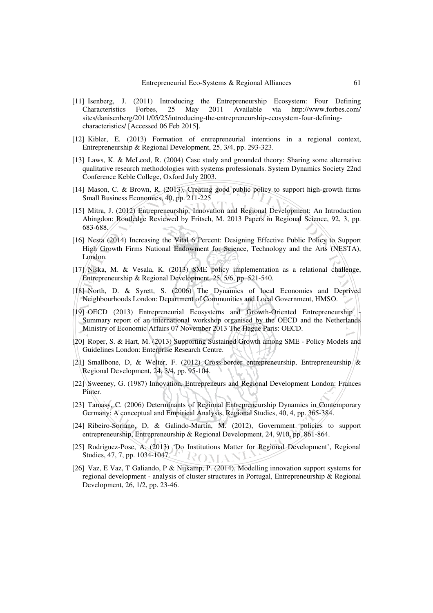- [11] Isenberg, J. (2011) Introducing the Entrepreneurship Ecosystem: Four Defining Characteristics Forbes, 25 May 2011 Available via http://www.forbes.com/ sites/danisenberg/2011/05/25/introducing-the-entrepreneurship-ecosystem-four-definingcharacteristics/ [Accessed 06 Feb 2015].
- [12] Kibler, E. (2013) Formation of entrepreneurial intentions in a regional context, Entrepreneurship & Regional Development, 25, 3/4, pp. 293-323.
- [13] Laws, K. & McLeod, R. (2004) Case study and grounded theory: Sharing some alternative qualitative research methodologies with systems professionals. System Dynamics Society 22nd Conference Keble College, Oxford July 2003.
- [14] Mason, C. & Brown, R. (2013), Creating good public policy to support high-growth firms Small Business Economics, 40, pp. 211-225
- [15] Mitra, J. (2012) Entrepreneurship, Innovation and Regional Development: An Introduction Abingdon: Routledge Reviewed by Fritsch, M. 2013 Papers in Regional Science, 92, 3, pp. 683-688.
- [16] Nesta (2014) Increasing the Vital 6 Percent: Designing Effective Public Policy to Support High Growth Firms National Endowment for Science, Technology and the Arts (NESTA), London.
- [17] Niska, M. & Vesala, K. (2013) SME policy implementation as a relational challenge, Entrepreneurship & Regional Development, 25, 5/6, pp. 521-540.
- [18] North, D. & Syrett, S. (2006) The Dynamics of local Economies and Deprived Neighbourhoods London: Department of Communities and Local Government, HMSO.
- [19] OECD (2013) Entrepreneurial Ecosystems and Growth-Oriented Entrepreneurship Summary report of an international workshop organised by the OECD and the Netherlands Ministry of Economic Affairs 07 November 2013 The Hague Paris: OECD.
- [20] Roper, S. & Hart, M. (2013) Supporting Sustained Growth among SME Policy Models and Guidelines London: Enterprise Research Centre.
- [21] Smallbone, D, & Welter, F. (2012) Cross-border entrepreneurship, Entrepreneurship & Regional Development, 24, 3/4, pp. 95-104.
- [22] Sweeney, G. (1987) Innovation, Entrepreneurs and Regional Development London: Frances Pinter.
- [23] Tamasy, C. (2006) Determinants of Regional Entrepreneurship Dynamics in Contemporary Germany: A conceptual and Empirical Analysis, Regional Studies, 40, 4, pp. 365-384.
- [24] Ribeiro-Soriano, D, & Galindo-Martín, M. (2012), Government policies to support entrepreneurship, Entrepreneurship & Regional Development, 24, 9/10, pp. 861-864.
- [25] Rodriguez-Pose, A. (2013) 'Do Institutions Matter for Regional Development', Regional Studies, 47, 7, pp. 1034-1047. ROMAN
- [26] Vaz, E Vaz, T Galiando, P & Nijkamp, P. (2014), Modelling innovation support systems for regional development - analysis of cluster structures in Portugal, Entrepreneurship & Regional Development, 26, 1/2, pp. 23-46.